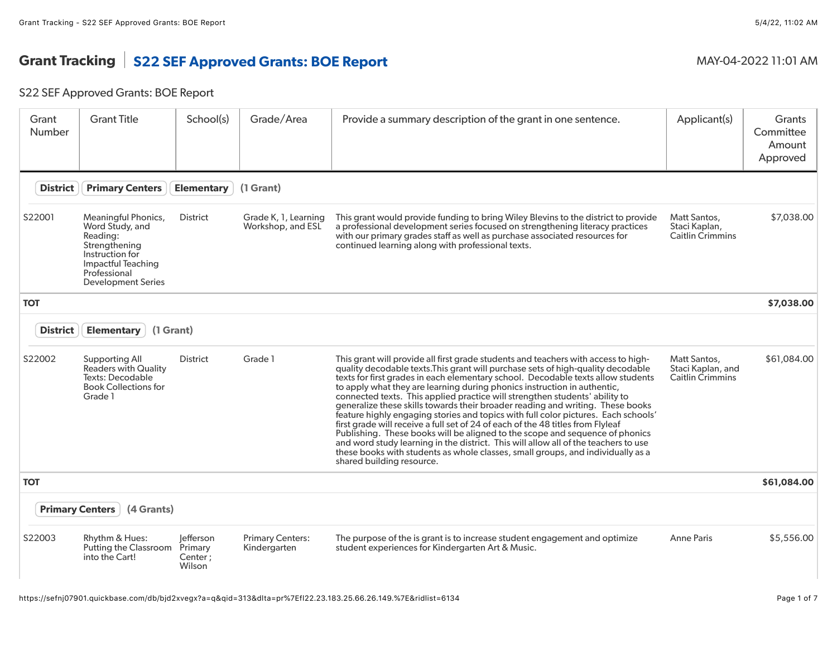# Grant Tracking S22 SEF Approved Grants: BOE Report MAY-04-2022 11:01 AM

## S22 SEF Approved Grants: BOE Report

| Grant<br><b>Number</b> | <b>Grant Title</b>                                                                                                                                        | School(s)                                 | Grade/Area                                | Provide a summary description of the grant in one sentence.                                                                                                                                                                                                                                                                                                                                                                                                                                                                                                                                                                                                                                                                                                                                                                                                                                                                                                             | Applicant(s)                                                 | Grants<br>Committee<br>Amount<br>Approved |
|------------------------|-----------------------------------------------------------------------------------------------------------------------------------------------------------|-------------------------------------------|-------------------------------------------|-------------------------------------------------------------------------------------------------------------------------------------------------------------------------------------------------------------------------------------------------------------------------------------------------------------------------------------------------------------------------------------------------------------------------------------------------------------------------------------------------------------------------------------------------------------------------------------------------------------------------------------------------------------------------------------------------------------------------------------------------------------------------------------------------------------------------------------------------------------------------------------------------------------------------------------------------------------------------|--------------------------------------------------------------|-------------------------------------------|
| <b>District</b>        | <b>Primary Centers</b>                                                                                                                                    | <b>Elementary</b>                         | (1 Grant)                                 |                                                                                                                                                                                                                                                                                                                                                                                                                                                                                                                                                                                                                                                                                                                                                                                                                                                                                                                                                                         |                                                              |                                           |
| S22001                 | Meaningful Phonics,<br>Word Study, and<br>Reading:<br>Strengthening<br>Instruction for<br>Impactful Teaching<br>Professional<br><b>Development Series</b> | District                                  | Grade K, 1, Learning<br>Workshop, and ESL | This grant would provide funding to bring Wiley Blevins to the district to provide<br>a professional development series focused on strengthening literacy practices<br>with our primary grades staff as well as purchase associated resources for<br>continued learning along with professional texts.                                                                                                                                                                                                                                                                                                                                                                                                                                                                                                                                                                                                                                                                  | Matt Santos,<br>Staci Kaplan,<br>Caitlin Crimmins            | \$7,038.00                                |
| <b>TOT</b>             |                                                                                                                                                           |                                           |                                           |                                                                                                                                                                                                                                                                                                                                                                                                                                                                                                                                                                                                                                                                                                                                                                                                                                                                                                                                                                         |                                                              | \$7,038.00                                |
| <b>District</b>        | <b>Elementary</b><br>(1 Grant)                                                                                                                            |                                           |                                           |                                                                                                                                                                                                                                                                                                                                                                                                                                                                                                                                                                                                                                                                                                                                                                                                                                                                                                                                                                         |                                                              |                                           |
| S22002                 | Supporting All<br><b>Readers with Quality</b><br>Texts: Decodable<br><b>Book Collections for</b><br>Grade 1                                               | <b>District</b>                           | Grade 1                                   | This grant will provide all first grade students and teachers with access to high-<br>quality decodable texts. This grant will purchase sets of high-quality decodable<br>texts for first grades in each elementary school. Decodable texts allow students<br>to apply what they are learning during phonics instruction in authentic,<br>connected texts. This applied practice will strengthen students' ability to<br>generalize these skills towards their broader reading and writing. These books<br>feature highly engaging stories and topics with full color pictures. Each schools'<br>first grade will receive a full set of 24 of each of the 48 titles from Flyleaf<br>Publishing. These books will be aligned to the scope and sequence of phonics<br>and word study learning in the district. This will allow all of the teachers to use<br>these books with students as whole classes, small groups, and individually as a<br>shared building resource. | Matt Santos,<br>Staci Kaplan, and<br><b>Caitlin Crimmins</b> | \$61,084.00                               |
| <b>TOT</b>             |                                                                                                                                                           |                                           |                                           |                                                                                                                                                                                                                                                                                                                                                                                                                                                                                                                                                                                                                                                                                                                                                                                                                                                                                                                                                                         |                                                              | \$61,084.00                               |
|                        | <b>Primary Centers</b><br>(4 Grants)                                                                                                                      |                                           |                                           |                                                                                                                                                                                                                                                                                                                                                                                                                                                                                                                                                                                                                                                                                                                                                                                                                                                                                                                                                                         |                                                              |                                           |
| S22003                 | Rhythm & Hues:<br><b>Putting the Classroom</b><br>into the Cart!                                                                                          | lefferson<br>Primary<br>Center;<br>Wilson | <b>Primary Centers:</b><br>Kindergarten   | The purpose of the is grant is to increase student engagement and optimize<br>student experiences for Kindergarten Art & Music.                                                                                                                                                                                                                                                                                                                                                                                                                                                                                                                                                                                                                                                                                                                                                                                                                                         | <b>Anne Paris</b>                                            | \$5,556.00                                |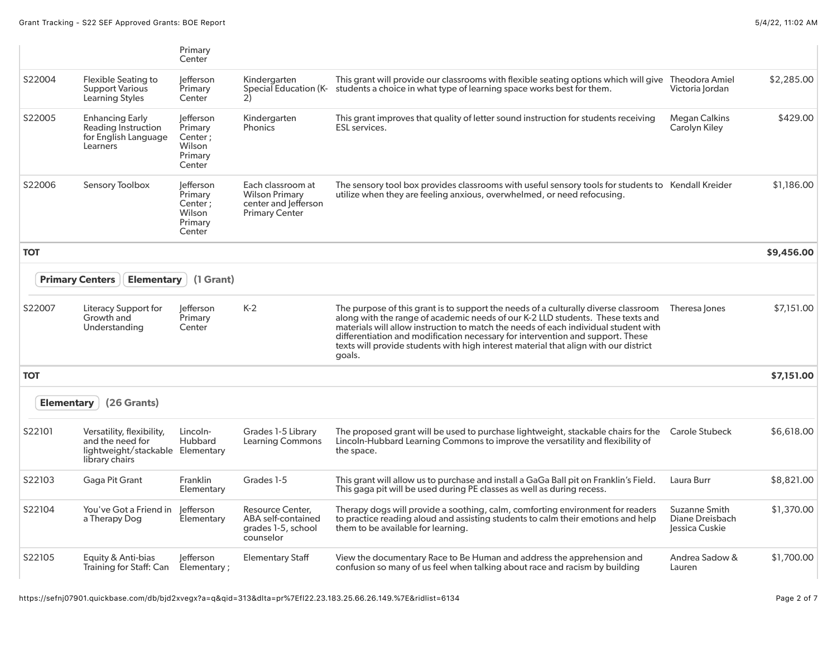|                   |                                                                                                     | Primary<br>Center                                              |                                                                                             |                                                                                                                                                                                                                                                                                                                                                                                                                                                   |                                                    |            |
|-------------------|-----------------------------------------------------------------------------------------------------|----------------------------------------------------------------|---------------------------------------------------------------------------------------------|---------------------------------------------------------------------------------------------------------------------------------------------------------------------------------------------------------------------------------------------------------------------------------------------------------------------------------------------------------------------------------------------------------------------------------------------------|----------------------------------------------------|------------|
| S22004            | <b>Flexible Seating to</b><br><b>Support Various</b><br>Learning Styles                             | lefferson<br>Primary<br>Center                                 | Kindergarten<br>Special Education (K-<br>2)                                                 | This grant will provide our classrooms with flexible seating options which will give Theodora Amiel<br>students a choice in what type of learning space works best for them.                                                                                                                                                                                                                                                                      | Victoria lordan                                    | \$2,285.00 |
| S22005            | Enhancing Early<br><b>Reading Instruction</b><br>for English Language<br>Learners                   | lefferson<br>Primary<br>Center;<br>Wilson<br>Primary<br>Center | Kindergarten<br><b>Phonics</b>                                                              | This grant improves that quality of letter sound instruction for students receiving<br><b>ESL</b> services.                                                                                                                                                                                                                                                                                                                                       | <b>Megan Calkins</b><br>Carolyn Kiley              | \$429.00   |
| S22006            | Sensory Toolbox                                                                                     | lefferson<br>Primary<br>Center;<br>Wilson<br>Primary<br>Center | Each classroom at<br><b>Wilson Primary</b><br>center and lefferson<br><b>Primary Center</b> | The sensory tool box provides classrooms with useful sensory tools for students to Kendall Kreider<br>utilize when they are feeling anxious, overwhelmed, or need refocusing.                                                                                                                                                                                                                                                                     |                                                    | \$1,186.00 |
| <b>TOT</b>        |                                                                                                     |                                                                |                                                                                             |                                                                                                                                                                                                                                                                                                                                                                                                                                                   |                                                    | \$9,456.00 |
|                   | <b>Elementary</b><br><b>Primary Centers</b>                                                         | (1 Grant)                                                      |                                                                                             |                                                                                                                                                                                                                                                                                                                                                                                                                                                   |                                                    |            |
| S22007            | Literacy Support for<br>Growth and<br>Understanding                                                 | lefferson<br>Primary<br>Center                                 | $K-2$                                                                                       | The purpose of this grant is to support the needs of a culturally diverse classroom<br>along with the range of academic needs of our K-2 LLD students. These texts and<br>materials will allow instruction to match the needs of each individual student with<br>differentiation and modification necessary for intervention and support. These<br>texts will provide students with high interest material that align with our district<br>goals. | Theresa Jones                                      | \$7,151.00 |
| <b>TOT</b>        |                                                                                                     |                                                                |                                                                                             |                                                                                                                                                                                                                                                                                                                                                                                                                                                   |                                                    | \$7,151.00 |
| <b>Elementary</b> | (26 Grants)                                                                                         |                                                                |                                                                                             |                                                                                                                                                                                                                                                                                                                                                                                                                                                   |                                                    |            |
| S22101            | Versatility, flexibility,<br>and the need for<br>lightweight/stackable Elementary<br>library chairs | Lincoln-<br>Hubbard                                            | Grades 1-5 Library<br><b>Learning Commons</b>                                               | The proposed grant will be used to purchase lightweight, stackable chairs for the Carole Stubeck<br>Lincoln-Hubbard Learning Commons to improve the versatility and flexibility of<br>the space.                                                                                                                                                                                                                                                  |                                                    | \$6,618.00 |
| S22103            | Gaga Pit Grant                                                                                      | Franklin<br>Elementary                                         | Grades 1-5                                                                                  | This grant will allow us to purchase and install a GaGa Ball pit on Franklin's Field.<br>This gaga pit will be used during PE classes as well as during recess.                                                                                                                                                                                                                                                                                   | Laura Burr                                         | \$8,821.00 |
| S22104            | You've Got a Friend in<br>a Therapy Dog                                                             | lefferson<br>Elementary                                        | Resource Center.<br>ABA self-contained<br>grades 1-5, school<br>counselor                   | Therapy dogs will provide a soothing, calm, comforting environment for readers<br>to practice reading aloud and assisting students to calm their emotions and help<br>them to be available for learning.                                                                                                                                                                                                                                          | Suzanne Smith<br>Diane Dreisbach<br>Jessica Cuskie | \$1,370.00 |
| S22105            | Equity & Anti-bias<br>Training for Staff: Can                                                       | lefferson<br>Elementary ;                                      | <b>Elementary Staff</b>                                                                     | View the documentary Race to Be Human and address the apprehension and<br>confusion so many of us feel when talking about race and racism by building                                                                                                                                                                                                                                                                                             | Andrea Sadow &<br>Lauren                           | \$1,700.00 |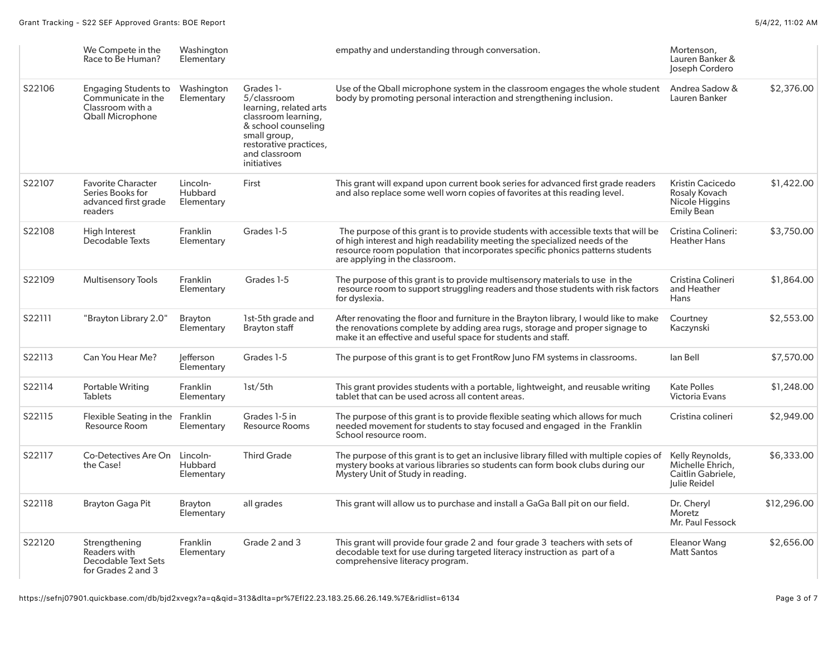|        | We Compete in the<br>Race to Be Human?                                                           | Washington<br>Elementary                 |                                                                                                                                                                            | empathy and understanding through conversation.                                                                                                                                                                                                                                      | Mortenson,<br>Lauren Banker &<br>Joseph Cordero                          |             |
|--------|--------------------------------------------------------------------------------------------------|------------------------------------------|----------------------------------------------------------------------------------------------------------------------------------------------------------------------------|--------------------------------------------------------------------------------------------------------------------------------------------------------------------------------------------------------------------------------------------------------------------------------------|--------------------------------------------------------------------------|-------------|
| S22106 | <b>Engaging Students to</b><br>Communicate in the<br>Classroom with a<br><b>Qball Microphone</b> | Washington<br>Elementary                 | Grades 1-<br>5/classroom<br>learning, related arts<br>classroom learning,<br>& school counseling<br>small group,<br>restorative practices,<br>and classroom<br>initiatives | Use of the Qball microphone system in the classroom engages the whole student<br>body by promoting personal interaction and strengthening inclusion.                                                                                                                                 | Andrea Sadow &<br>Lauren Banker                                          | \$2,376.00  |
| S22107 | <b>Favorite Character</b><br>Series Books for<br>advanced first grade<br>readers                 | Lincoln-<br><b>Hubbard</b><br>Elementary | First                                                                                                                                                                      | This grant will expand upon current book series for advanced first grade readers<br>and also replace some well worn copies of favorites at this reading level.                                                                                                                       | Kristin Cacicedo<br>Rosaly Kovach<br>Nicole Higgins<br><b>Emily Bean</b> | \$1,422.00  |
| S22108 | High Interest<br>Decodable Texts                                                                 | <b>Franklin</b><br>Elementary            | Grades 1-5                                                                                                                                                                 | The purpose of this grant is to provide students with accessible texts that will be<br>of high interest and high readability meeting the specialized needs of the<br>resource room population that incorporates specific phonics patterns students<br>are applying in the classroom. | Cristina Colineri:<br><b>Heather Hans</b>                                | \$3,750.00  |
| S22109 | <b>Multisensory Tools</b>                                                                        | <b>Franklin</b><br>Elementary            | Grades 1-5                                                                                                                                                                 | The purpose of this grant is to provide multisensory materials to use in the<br>resource room to support struggling readers and those students with risk factors<br>for dyslexia.                                                                                                    | Cristina Colineri<br>and Heather<br>Hans                                 | \$1,864.00  |
| S22111 | "Brayton Library 2.0"                                                                            | <b>Brayton</b><br>Elementary             | 1st-5th grade and<br><b>Brayton staff</b>                                                                                                                                  | After renovating the floor and furniture in the Brayton library, I would like to make<br>the renovations complete by adding area rugs, storage and proper signage to<br>make it an effective and useful space for students and staff.                                                | Courtney<br>Kaczynski                                                    | \$2,553.00  |
| S22113 | Can You Hear Me?                                                                                 | lefferson<br>Elementary                  | Grades 1-5                                                                                                                                                                 | The purpose of this grant is to get FrontRow Juno FM systems in classrooms.                                                                                                                                                                                                          | lan Bell                                                                 | \$7,570.00  |
| S22114 | <b>Portable Writing</b><br><b>Tablets</b>                                                        | <b>Franklin</b><br>Elementary            | 1st/5th                                                                                                                                                                    | This grant provides students with a portable, lightweight, and reusable writing<br>tablet that can be used across all content areas.                                                                                                                                                 | <b>Kate Polles</b><br><b>Victoria Evans</b>                              | \$1,248.00  |
| S22115 | Flexible Seating in the<br>Resource Room                                                         | Franklin<br>Elementary                   | Grades 1-5 in<br><b>Resource Rooms</b>                                                                                                                                     | The purpose of this grant is to provide flexible seating which allows for much<br>needed movement for students to stay focused and engaged in the Franklin<br>School resource room.                                                                                                  | Cristina colineri                                                        | \$2,949.00  |
| S22117 | Co-Detectives Are On<br>the Case!                                                                | Lincoln-<br><b>Hubbard</b><br>Elementary | <b>Third Grade</b>                                                                                                                                                         | The purpose of this grant is to get an inclusive library filled with multiple copies of<br>mystery books at various libraries so students can form book clubs during our<br>Mystery Unit of Study in reading.                                                                        | Kelly Reynolds,<br>Michelle Ehrich,<br>Caitlin Gabriele,<br>Julie Reidel | \$6,333.00  |
| S22118 | Brayton Gaga Pit                                                                                 | <b>Brayton</b><br>Elementary             | all grades                                                                                                                                                                 | This grant will allow us to purchase and install a GaGa Ball pit on our field.                                                                                                                                                                                                       | Dr. Cheryl<br>Moretz<br>Mr. Paul Fessock                                 | \$12,296.00 |
| S22120 | Strengthening<br>Readers with<br><b>Decodable Text Sets</b><br>for Grades 2 and 3                | <b>Franklin</b><br>Elementary            | Grade 2 and 3                                                                                                                                                              | This grant will provide four grade 2 and four grade 3 teachers with sets of<br>decodable text for use during targeted literacy instruction as part of a<br>comprehensive literacy program.                                                                                           | Eleanor Wang<br><b>Matt Santos</b>                                       | \$2,656.00  |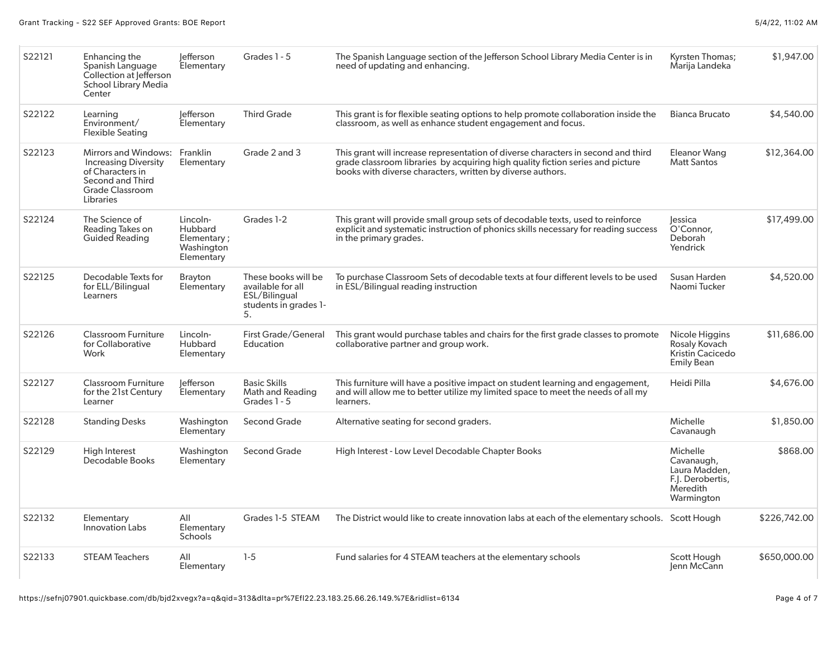| S22121 | Enhancing the<br>Spanish Language<br>Collection at lefferson<br><b>School Library Media</b><br>Center                                     | lefferson<br>Elementary                                        | Grades 1 - 5                                                                             | The Spanish Language section of the Jefferson School Library Media Center is in<br>need of updating and enhancing.                                                                                                                | <b>Kyrsten Thomas;</b><br>Marija Landeka                                              | \$1,947.00   |
|--------|-------------------------------------------------------------------------------------------------------------------------------------------|----------------------------------------------------------------|------------------------------------------------------------------------------------------|-----------------------------------------------------------------------------------------------------------------------------------------------------------------------------------------------------------------------------------|---------------------------------------------------------------------------------------|--------------|
| S22122 | Learning<br>Environment/<br><b>Flexible Seating</b>                                                                                       | lefferson<br>Elementary                                        | <b>Third Grade</b>                                                                       | This grant is for flexible seating options to help promote collaboration inside the<br>classroom, as well as enhance student engagement and focus.                                                                                | <b>Bianca Brucato</b>                                                                 | \$4,540.00   |
| S22123 | Mirrors and Windows:<br><b>Increasing Diversity</b><br>of Characters in<br><b>Second and Third</b><br><b>Grade Classroom</b><br>Libraries | Franklin<br>Elementary                                         | Grade 2 and 3                                                                            | This grant will increase representation of diverse characters in second and third<br>grade classroom libraries by acquiring high quality fiction series and picture<br>books with diverse characters, written by diverse authors. | <b>Eleanor Wang</b><br><b>Matt Santos</b>                                             | \$12,364.00  |
| S22124 | The Science of<br>Reading Takes on<br><b>Guided Reading</b>                                                                               | Lincoln-<br>Hubbard<br>Elementary;<br>Washington<br>Elementary | Grades 1-2                                                                               | This grant will provide small group sets of decodable texts, used to reinforce<br>explicit and systematic instruction of phonics skills necessary for reading success<br>in the primary grades.                                   | <b>essica</b><br>O'Connor,<br>Deborah<br>Yendrick                                     | \$17,499.00  |
| S22125 | Decodable Texts for<br>for ELL/Bilingual<br>Learners                                                                                      | Brayton<br>Elementary                                          | These books will be<br>available for all<br>ESL/Bilingual<br>students in grades 1-<br>5. | To purchase Classroom Sets of decodable texts at four different levels to be used<br>in ESL/Bilingual reading instruction                                                                                                         | Susan Harden<br>Naomi Tucker                                                          | \$4,520.00   |
| S22126 | <b>Classroom Furniture</b><br>for Collaborative<br>Work                                                                                   | Lincoln-<br>Hubbard<br>Elementary                              | First Grade/General<br>Education                                                         | This grant would purchase tables and chairs for the first grade classes to promote<br>collaborative partner and group work.                                                                                                       | Nicole Higgins<br>Rosaly Kovach<br>Kristin Cacicedo<br><b>Emily Bean</b>              | \$11,686.00  |
| S22127 | <b>Classroom Furniture</b><br>for the 21st Century<br>Learner                                                                             | lefferson<br>Elementary                                        | <b>Basic Skills</b><br>Math and Reading<br>Grades 1 - 5                                  | This furniture will have a positive impact on student learning and engagement,<br>and will allow me to better utilize my limited space to meet the needs of all my<br>learners.                                                   | Heidi Pilla                                                                           | \$4,676.00   |
| S22128 | <b>Standing Desks</b>                                                                                                                     | Washington<br>Elementary                                       | <b>Second Grade</b>                                                                      | Alternative seating for second graders.                                                                                                                                                                                           | Michelle<br>Cavanaugh                                                                 | \$1,850.00   |
| S22129 | <b>High Interest</b><br>Decodable Books                                                                                                   | Washington<br>Elementary                                       | <b>Second Grade</b>                                                                      | High Interest - Low Level Decodable Chapter Books                                                                                                                                                                                 | Michelle<br>Cavanaugh,<br>Laura Madden,<br>F.J. Derobertis,<br>Meredith<br>Warmington | \$868.00     |
| S22132 | Elementary<br>Innovation Labs                                                                                                             | All<br>Elementary<br>Schools                                   | Grades 1-5 STEAM                                                                         | The District would like to create innovation labs at each of the elementary schools. Scott Hough                                                                                                                                  |                                                                                       | \$226,742.00 |
| S22133 | <b>STEAM Teachers</b>                                                                                                                     | All<br>Elementary                                              | $1-5$                                                                                    | Fund salaries for 4 STEAM teachers at the elementary schools                                                                                                                                                                      | Scott Hough<br>Jenn McCann                                                            | \$650,000.00 |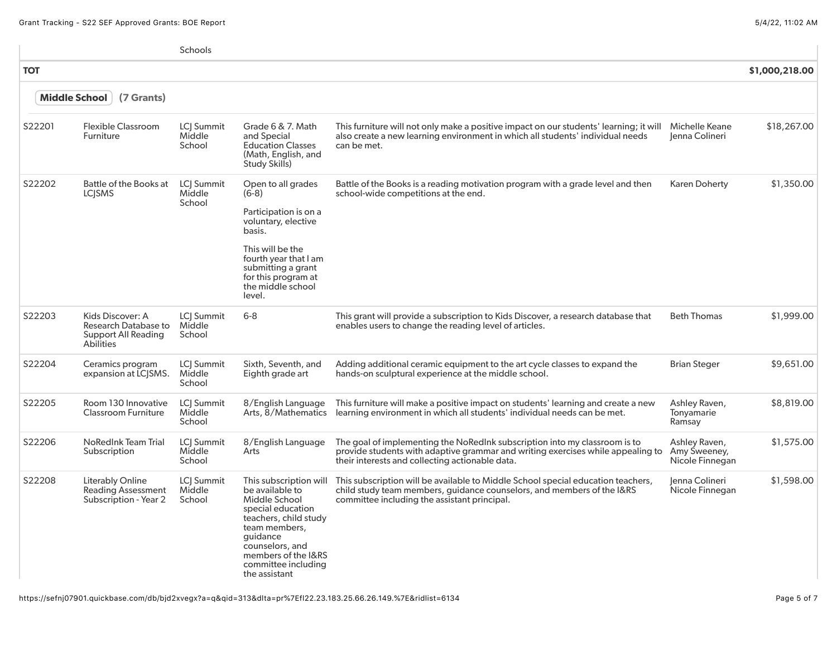### Grant Tracking - S22 SEF Approved Grants: BOE Report 5/4/22, 11:02 AM

|               |                                                                                     | Schools                               |                                                                                                                                                                                                                         |                                                                                                                                                                                                                  |                                                  |                |
|---------------|-------------------------------------------------------------------------------------|---------------------------------------|-------------------------------------------------------------------------------------------------------------------------------------------------------------------------------------------------------------------------|------------------------------------------------------------------------------------------------------------------------------------------------------------------------------------------------------------------|--------------------------------------------------|----------------|
| <b>TOT</b>    |                                                                                     |                                       |                                                                                                                                                                                                                         |                                                                                                                                                                                                                  |                                                  | \$1,000,218.00 |
| Middle School | (7 Grants)                                                                          |                                       |                                                                                                                                                                                                                         |                                                                                                                                                                                                                  |                                                  |                |
| S22201        | <b>Flexible Classroom</b><br>Furniture                                              | LCJ Summit<br>Middle<br>School        | Grade 6 & 7. Math<br>and Special<br><b>Education Classes</b><br>(Math, English, and<br>Study Skills)                                                                                                                    | This furniture will not only make a positive impact on our students' learning; it will<br>also create a new learning environment in which all students' individual needs<br>can be met.                          | Michelle Keane<br>Jenna Colineri                 | \$18,267.00    |
| S22202        | Battle of the Books at<br><b>LCISMS</b>                                             | LCJ Summit<br>Middle<br>School        | Open to all grades<br>$(6-8)$<br>Participation is on a<br>voluntary, elective<br>basis.<br>This will be the<br>fourth year that I am<br>submitting a grant<br>for this program at<br>the middle school<br>level.        | Battle of the Books is a reading motivation program with a grade level and then<br>school-wide competitions at the end.                                                                                          | <b>Karen Doherty</b>                             | \$1,350.00     |
| S22203        | Kids Discover: A<br>Research Database to<br>Support All Reading<br><b>Abilities</b> | LCJ Summit<br>Middle<br>School        | $6 - 8$                                                                                                                                                                                                                 | This grant will provide a subscription to Kids Discover, a research database that<br>enables users to change the reading level of articles.                                                                      | <b>Beth Thomas</b>                               | \$1,999.00     |
| S22204        | Ceramics program<br>expansion at LCISMS.                                            | LCJ Summit<br>Middle<br>School        | Sixth, Seventh, and<br>Eighth grade art                                                                                                                                                                                 | Adding additional ceramic equipment to the art cycle classes to expand the<br>hands-on sculptural experience at the middle school.                                                                               | <b>Brian Steger</b>                              | \$9,651.00     |
| S22205        | Room 130 Innovative<br>Classroom Furniture                                          | LCI Summit<br>Middle<br>School        | 8/English Language<br>Arts, 8/Mathematics                                                                                                                                                                               | This furniture will make a positive impact on students' learning and create a new<br>learning environment in which all students' individual needs can be met.                                                    | Ashley Raven,<br>Tonyamarie<br>Ramsay            | \$8,819.00     |
| S22206        | <b>NoRedInk Team Trial</b><br>Subscription                                          | <b>LCI Summit</b><br>Middle<br>School | 8/English Language<br>Arts                                                                                                                                                                                              | The goal of implementing the NoRedlnk subscription into my classroom is to<br>provide students with adaptive grammar and writing exercises while appealing to<br>their interests and collecting actionable data. | Ashley Raven,<br>Amy Sweeney,<br>Nicole Finnegan | \$1,575.00     |
| S22208        | Literably Online<br><b>Reading Assessment</b><br>Subscription - Year 2              | LCJ Summit<br>Middle<br>School        | This subscription will<br>be available to<br>Middle School<br>special education<br>teachers, child study<br>team members,<br>quidance<br>counselors, and<br>members of the I&RS<br>committee including<br>the assistant | This subscription will be available to Middle School special education teachers,<br>child study team members, guidance counselors, and members of the I&RS<br>committee including the assistant principal.       | Jenna Colineri<br>Nicole Finnegan                | \$1,598.00     |

https://sefnj07901.quickbase.com/db/bjd2xvegx?a=q&qid=313&dlta=pr%7Efl22.23.183.25.66.26.149.%7E&ridlist=6134 Page 5 of 7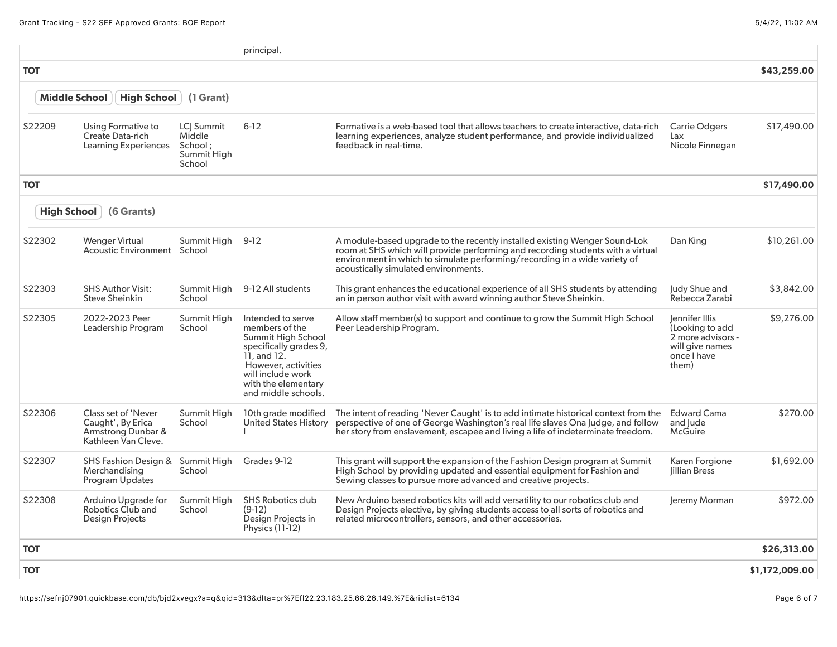|            |                                                                                       |                                                           | principal.                                                                                                                                                                                              |                                                                                                                                                                                                                                                                                     |                                                                                                   |                |
|------------|---------------------------------------------------------------------------------------|-----------------------------------------------------------|---------------------------------------------------------------------------------------------------------------------------------------------------------------------------------------------------------|-------------------------------------------------------------------------------------------------------------------------------------------------------------------------------------------------------------------------------------------------------------------------------------|---------------------------------------------------------------------------------------------------|----------------|
| <b>TOT</b> |                                                                                       |                                                           |                                                                                                                                                                                                         |                                                                                                                                                                                                                                                                                     |                                                                                                   | \$43,259.00    |
|            | <b>Middle School</b><br><b>High School</b>                                            | (1 Grant)                                                 |                                                                                                                                                                                                         |                                                                                                                                                                                                                                                                                     |                                                                                                   |                |
| S22209     | Using Formative to<br>Create Data-rich<br>Learning Experiences                        | LCI Summit<br>Middle<br>School ;<br>Summit High<br>School | $6 - 12$                                                                                                                                                                                                | Formative is a web-based tool that allows teachers to create interactive, data-rich<br>learning experiences, analyze student performance, and provide individualized<br>feedback in real-time.                                                                                      | <b>Carrie Odgers</b><br>Lax<br>Nicole Finnegan                                                    | \$17,490.00    |
| <b>TOT</b> |                                                                                       |                                                           |                                                                                                                                                                                                         |                                                                                                                                                                                                                                                                                     |                                                                                                   | \$17,490.00    |
|            | <b>High School</b><br>(6 Grants)                                                      |                                                           |                                                                                                                                                                                                         |                                                                                                                                                                                                                                                                                     |                                                                                                   |                |
| S22302     | <b>Wenger Virtual</b><br>Acoustic Environment School                                  | Summit High 9-12                                          |                                                                                                                                                                                                         | A module-based upgrade to the recently installed existing Wenger Sound-Lok<br>room at SHS which will provide performing and recording students with a virtual<br>environment in which to simulate performing/recording in a wide variety of<br>acoustically simulated environments. | Dan King                                                                                          | \$10,261.00    |
| S22303     | <b>SHS Author Visit:</b><br><b>Steve Sheinkin</b>                                     | Summit High<br>School                                     | 9-12 All students                                                                                                                                                                                       | This grant enhances the educational experience of all SHS students by attending<br>an in person author visit with award winning author Steve Sheinkin.                                                                                                                              | Judy Shue and<br>Rebecca Zarabi                                                                   | \$3,842.00     |
| S22305     | 2022-2023 Peer<br>Leadership Program                                                  | Summit High<br>School                                     | Intended to serve<br>members of the<br><b>Summit High School</b><br>specifically grades 9,<br>$11.$ and $12.$<br>However, activities<br>will include work<br>with the elementary<br>and middle schools. | Allow staff member(s) to support and continue to grow the Summit High School<br>Peer Leadership Program.                                                                                                                                                                            | lennifer Illis<br>(Looking to add<br>2 more advisors -<br>will give names<br>once I have<br>them) | \$9,276.00     |
| S22306     | Class set of 'Never<br>Caught', By Erica<br>Armstrong Dunbar &<br>Kathleen Van Cleve. | Summit High<br>School                                     | 10th grade modified<br>United States History                                                                                                                                                            | The intent of reading 'Never Caught' is to add intimate historical context from the<br>perspective of one of George Washington's real life slaves Ona Judge, and follow<br>her story from enslavement, escapee and living a life of indeterminate freedom.                          | <b>Edward Cama</b><br>and Jude<br>McGuire                                                         | \$270.00       |
| S22307     | SHS Fashion Design &<br>Merchandising<br><b>Program Updates</b>                       | Summit High<br>School                                     | Grades 9-12                                                                                                                                                                                             | This grant will support the expansion of the Fashion Design program at Summit<br>High School by providing updated and essential equipment for Fashion and<br>Sewing classes to pursue more advanced and creative projects.                                                          | Karen Forgione<br><b>lillian Bress</b>                                                            | \$1,692.00     |
| S22308     | Arduino Upgrade for<br><b>Robotics Club and</b><br><b>Design Projects</b>             | Summit High<br>School                                     | <b>SHS Robotics club</b><br>$(9-12)$<br>Design Projects in<br>Physics (11-12)                                                                                                                           | New Arduino based robotics kits will add versatility to our robotics club and<br>Design Projects elective, by giving students access to all sorts of robotics and<br>related microcontrollers, sensors, and other accessories.                                                      | Jeremy Morman                                                                                     | \$972.00       |
| ΤΟΤ        |                                                                                       |                                                           |                                                                                                                                                                                                         |                                                                                                                                                                                                                                                                                     |                                                                                                   | \$26,313.00    |
| <b>TOT</b> |                                                                                       |                                                           |                                                                                                                                                                                                         |                                                                                                                                                                                                                                                                                     |                                                                                                   | \$1,172,009.00 |